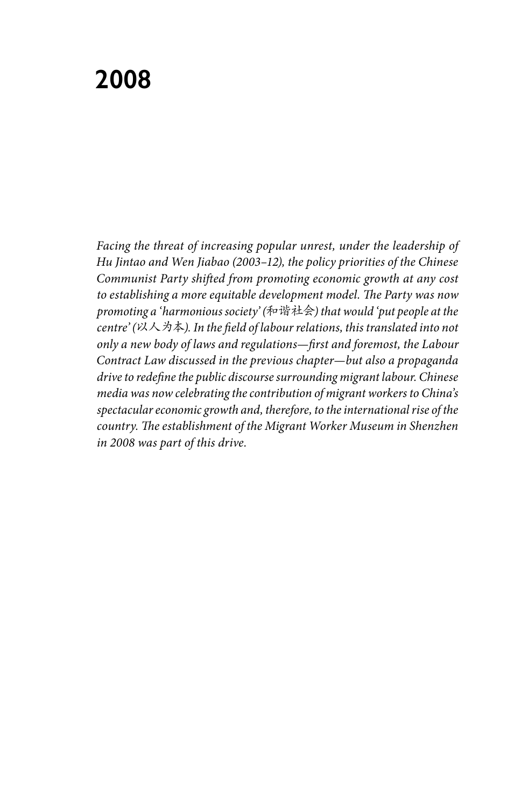# **2008**

*Facing the threat of increasing popular unrest, under the leadership of Hu Jintao and Wen Jiabao (2003–12), the policy priorities of the Chinese Communist Party shifted from promoting economic growth at any cost to establishing a more equitable development model. The Party was now promoting a 'harmonious society' (*和谐社会*) that would 'put people at the centre' (*以人为本*). In the field of labour relations, this translated into not only a new body of laws and regulations—first and foremost, the Labour Contract Law discussed in the previous chapter—but also a propaganda drive to redefine the public discourse surrounding migrant labour. Chinese media was now celebrating the contribution of migrant workers to China's spectacular economic growth and, therefore, to the international rise of the country. The establishment of the Migrant Worker Museum in Shenzhen in 2008 was part of this drive.*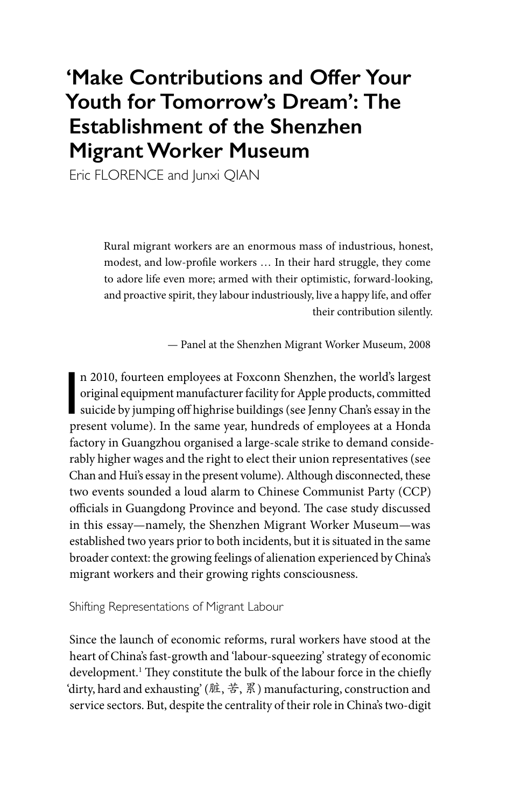## **'Make Contributions and Offer Your Youth for Tomorrow's Dream': The Establishment of the Shenzhen Migrant Worker Museum**

Eric FLORENCE and Junxi QIAN

Rural migrant workers are an enormous mass of industrious, honest, modest, and low-profile workers … In their hard struggle, they come to adore life even more; armed with their optimistic, forward-looking, and proactive spirit, they labour industriously, live a happy life, and offer their contribution silently.

— Panel at the Shenzhen Migrant Worker Museum, 2008

n 2010, fourteen employees at Foxconn Shenzhen, the world's largest<br>original equipment manufacturer facility for Apple products, committed<br>suicide by jumping off highrise buildings (see Jenny Chan's essay in the<br>present vo n 2010, fourteen employees at Foxconn Shenzhen, the world's largest original equipment manufacturer facility for Apple products, committed present volume). In the same year, hundreds of employees at a Honda factory in Guangzhou organised a large-scale strike to demand considerably higher wages and the right to elect their union representatives (see Chan and Hui's essay in the present volume). Although disconnected, these two events sounded a loud alarm to Chinese Communist Party (CCP) officials in Guangdong Province and beyond. The case study discussed in this essay—namely, the Shenzhen Migrant Worker Museum—was established two years prior to both incidents, but it is situated in the same broader context: the growing feelings of alienation experienced by China's migrant workers and their growing rights consciousness.

Shifting Representations of Migrant Labour

Since the launch of economic reforms, rural workers have stood at the heart of China's fast-growth and 'labour-squeezing' strategy of economic development.1 They constitute the bulk of the labour force in the chiefly 'dirty, hard and exhausting' (脏, 苦, 累) manufacturing, construction and service sectors. But, despite the centrality of their role in China's two-digit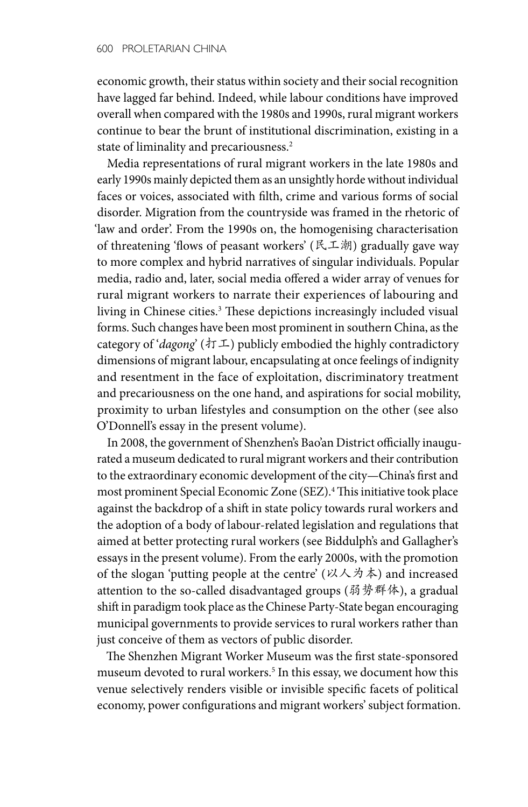economic growth, their status within society and their social recognition have lagged far behind. Indeed, while labour conditions have improved overall when compared with the 1980s and 1990s, rural migrant workers continue to bear the brunt of institutional discrimination, existing in a state of liminality and precariousness.<sup>2</sup>

Media representations of rural migrant workers in the late 1980s and early 1990s mainly depicted them as an unsightly horde without individual faces or voices, associated with filth, crime and various forms of social disorder. Migration from the countryside was framed in the rhetoric of 'law and order'. From the 1990s on, the homogenising characterisation of threatening 'flows of peasant workers' (民工潮) gradually gave way to more complex and hybrid narratives of singular individuals. Popular media, radio and, later, social media offered a wider array of venues for rural migrant workers to narrate their experiences of labouring and living in Chinese cities.<sup>3</sup> These depictions increasingly included visual forms. Such changes have been most prominent in southern China, as the category of '*dagong*' (打工) publicly embodied the highly contradictory dimensions of migrant labour, encapsulating at once feelings of indignity and resentment in the face of exploitation, discriminatory treatment and precariousness on the one hand, and aspirations for social mobility, proximity to urban lifestyles and consumption on the other (see also O'Donnell's essay in the present volume).

In 2008, the government of Shenzhen's Bao'an District officially inaugurated a museum dedicated to rural migrant workers and their contribution to the extraordinary economic development of the city—China's first and most prominent Special Economic Zone (SEZ).4 This initiative took place against the backdrop of a shift in state policy towards rural workers and the adoption of a body of labour-related legislation and regulations that aimed at better protecting rural workers (see Biddulph's and Gallagher's essays in the present volume). From the early 2000s, with the promotion of the slogan 'putting people at the centre' (以人为本) and increased attention to the so-called disadvantaged groups (弱势群体), a gradual shift in paradigm took place as the Chinese Party-State began encouraging municipal governments to provide services to rural workers rather than just conceive of them as vectors of public disorder.

The Shenzhen Migrant Worker Museum was the first state-sponsored museum devoted to rural workers.<sup>5</sup> In this essay, we document how this venue selectively renders visible or invisible specific facets of political economy, power configurations and migrant workers' subject formation.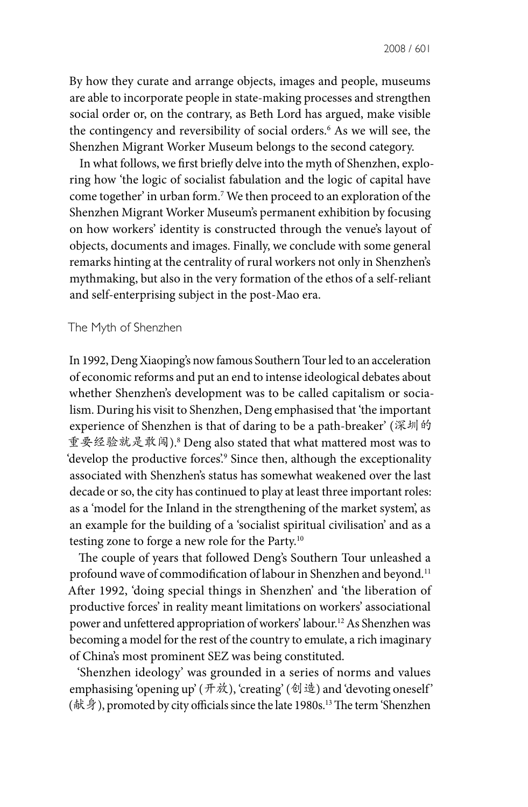By how they curate and arrange objects, images and people, museums are able to incorporate people in state-making processes and strengthen social order or, on the contrary, as Beth Lord has argued, make visible the contingency and reversibility of social orders.6 As we will see, the Shenzhen Migrant Worker Museum belongs to the second category.

In what follows, we first briefly delve into the myth of Shenzhen, exploring how 'the logic of socialist fabulation and the logic of capital have come together' in urban form.7 We then proceed to an exploration of the Shenzhen Migrant Worker Museum's permanent exhibition by focusing on how workers' identity is constructed through the venue's layout of objects, documents and images. Finally, we conclude with some general remarks hinting at the centrality of rural workers not only in Shenzhen's mythmaking, but also in the very formation of the ethos of a self-reliant and self-enterprising subject in the post-Mao era.

#### The Myth of Shenzhen

In 1992, Deng Xiaoping's now famous Southern Tour led to an acceleration of economic reforms and put an end to intense ideological debates about whether Shenzhen's development was to be called capitalism or socialism. During his visit to Shenzhen, Deng emphasised that 'the important experience of Shenzhen is that of daring to be a path-breaker' (深圳的 重要经验就是敢闯).8 Deng also stated that what mattered most was to 'develop the productive forces'.<sup>9</sup> Since then, although the exceptionality associated with Shenzhen's status has somewhat weakened over the last decade or so, the city has continued to play at least three important roles: as a 'model for the Inland in the strengthening of the market system', as an example for the building of a 'socialist spiritual civilisation' and as a testing zone to forge a new role for the Party.10

The couple of years that followed Deng's Southern Tour unleashed a profound wave of commodification of labour in Shenzhen and beyond.<sup>11</sup> After 1992, 'doing special things in Shenzhen' and 'the liberation of productive forces' in reality meant limitations on workers' associational power and unfettered appropriation of workers' labour.12 As Shenzhen was becoming a model for the rest of the country to emulate, a rich imaginary of China's most prominent SEZ was being constituted.

'Shenzhen ideology' was grounded in a series of norms and values emphasising 'opening up' (开放), 'creating' (创造) and 'devoting oneself' (献身), promoted by city officials since the late 1980s.<sup>13</sup> The term 'Shenzhen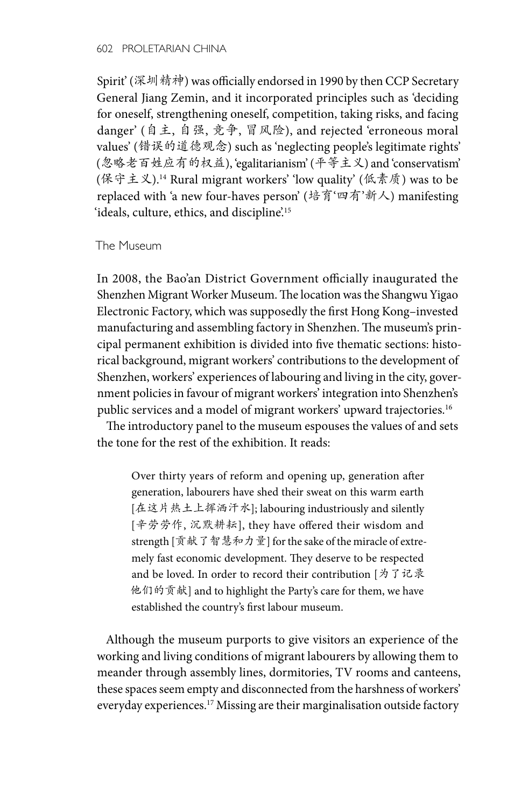Spirit' (深圳精神) was officially endorsed in 1990 by then CCP Secretary General Jiang Zemin, and it incorporated principles such as 'deciding for oneself, strengthening oneself, competition, taking risks, and facing danger' (自主, 自强, 竞争, 冒风险), and rejected 'erroneous moral values' (错误的道德观念) such as 'neglecting people's legitimate rights' (忽略老百姓应有的权益), 'egalitarianism' (平等主义) and 'conservatism' (保守主义).14 Rural migrant workers' 'low quality' (低素质) was to be replaced with 'a new four-haves person' (培育'四有'新人) manifesting 'ideals, culture, ethics, and discipline'.<sup>15</sup>

### The Museum

In 2008, the Bao'an District Government officially inaugurated the Shenzhen Migrant Worker Museum. The location was the Shangwu Yigao Electronic Factory, which was supposedly the first Hong Kong–invested manufacturing and assembling factory in Shenzhen. The museum's principal permanent exhibition is divided into five thematic sections: historical background, migrant workers' contributions to the development of Shenzhen, workers' experiences of labouring and living in the city, government policies in favour of migrant workers' integration into Shenzhen's public services and a model of migrant workers' upward trajectories.<sup>16</sup>

The introductory panel to the museum espouses the values of and sets the tone for the rest of the exhibition. It reads:

Over thirty years of reform and opening up, generation after generation, labourers have shed their sweat on this warm earth [在这片热土上挥洒汗水]; labouring industriously and silently [辛劳劳作, 沉默耕耘], they have offered their wisdom and strength [贡献了智慧和力量] for the sake of the miracle of extremely fast economic development. They deserve to be respected and be loved. In order to record their contribution [为了记录 他们的贡献] and to highlight the Party's care for them, we have established the country's first labour museum.

Although the museum purports to give visitors an experience of the working and living conditions of migrant labourers by allowing them to meander through assembly lines, dormitories, TV rooms and canteens, these spaces seem empty and disconnected from the harshness of workers' everyday experiences.17 Missing are their marginalisation outside factory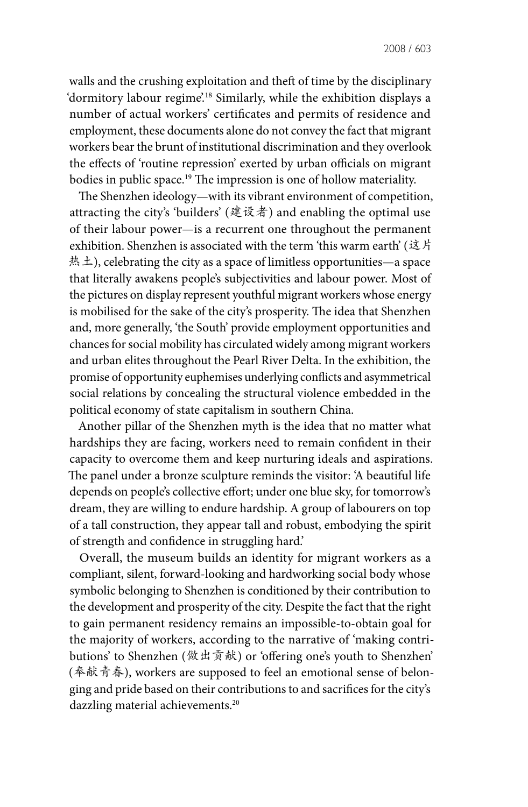walls and the crushing exploitation and theft of time by the disciplinary 'dormitory labour regime'.<sup>18</sup> Similarly, while the exhibition displays a number of actual workers' certificates and permits of residence and employment, these documents alone do not convey the fact that migrant workers bear the brunt of institutional discrimination and they overlook the effects of 'routine repression' exerted by urban officials on migrant bodies in public space.<sup>19</sup> The impression is one of hollow materiality.

The Shenzhen ideology—with its vibrant environment of competition, attracting the city's 'builders' (建设者) and enabling the optimal use of their labour power—is a recurrent one throughout the permanent exhibition. Shenzhen is associated with the term 'this warm earth' (这片 热土), celebrating the city as a space of limitless opportunities—a space that literally awakens people's subjectivities and labour power. Most of the pictures on display represent youthful migrant workers whose energy is mobilised for the sake of the city's prosperity. The idea that Shenzhen and, more generally, 'the South' provide employment opportunities and chances for social mobility has circulated widely among migrant workers and urban elites throughout the Pearl River Delta. In the exhibition, the promise of opportunity euphemises underlying conflicts and asymmetrical social relations by concealing the structural violence embedded in the political economy of state capitalism in southern China.

Another pillar of the Shenzhen myth is the idea that no matter what hardships they are facing, workers need to remain confident in their capacity to overcome them and keep nurturing ideals and aspirations. The panel under a bronze sculpture reminds the visitor: 'A beautiful life depends on people's collective effort; under one blue sky, for tomorrow's dream, they are willing to endure hardship. A group of labourers on top of a tall construction, they appear tall and robust, embodying the spirit of strength and confidence in struggling hard.'

Overall, the museum builds an identity for migrant workers as a compliant, silent, forward-looking and hardworking social body whose symbolic belonging to Shenzhen is conditioned by their contribution to the development and prosperity of the city. Despite the fact that the right to gain permanent residency remains an impossible-to-obtain goal for the majority of workers, according to the narrative of 'making contributions' to Shenzhen (做出贡献) or 'offering one's youth to Shenzhen' (奉献青春), workers are supposed to feel an emotional sense of belonging and pride based on their contributions to and sacrifices for the city's dazzling material achievements.<sup>20</sup>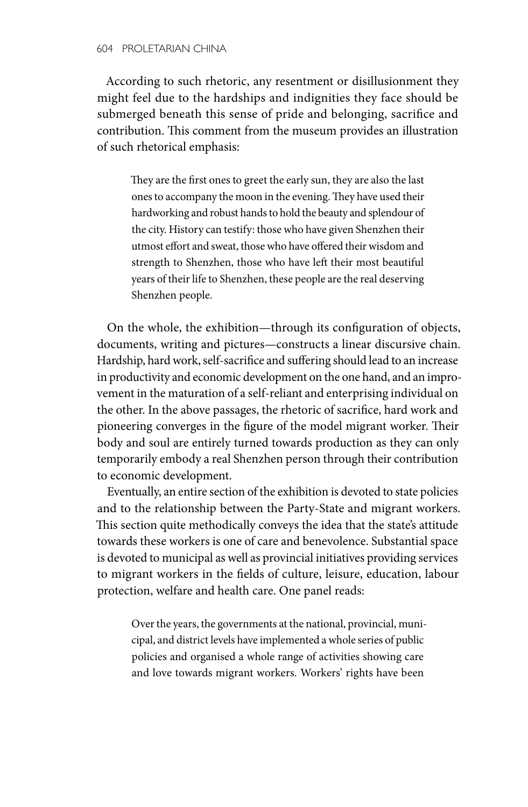According to such rhetoric, any resentment or disillusionment they might feel due to the hardships and indignities they face should be submerged beneath this sense of pride and belonging, sacrifice and contribution. This comment from the museum provides an illustration of such rhetorical emphasis:

They are the first ones to greet the early sun, they are also the last ones to accompany the moon in the evening. They have used their hardworking and robust hands to hold the beauty and splendour of the city. History can testify: those who have given Shenzhen their utmost effort and sweat, those who have offered their wisdom and strength to Shenzhen, those who have left their most beautiful years of their life to Shenzhen, these people are the real deserving Shenzhen people.

On the whole, the exhibition—through its configuration of objects, documents, writing and pictures—constructs a linear discursive chain. Hardship, hard work, self-sacrifice and suffering should lead to an increase in productivity and economic development on the one hand, and an improvement in the maturation of a self-reliant and enterprising individual on the other. In the above passages, the rhetoric of sacrifice, hard work and pioneering converges in the figure of the model migrant worker. Their body and soul are entirely turned towards production as they can only temporarily embody a real Shenzhen person through their contribution to economic development.

Eventually, an entire section of the exhibition is devoted to state policies and to the relationship between the Party-State and migrant workers. This section quite methodically conveys the idea that the state's attitude towards these workers is one of care and benevolence. Substantial space is devoted to municipal as well as provincial initiatives providing services to migrant workers in the fields of culture, leisure, education, labour protection, welfare and health care. One panel reads:

Over the years, the governments at the national, provincial, municipal, and district levels have implemented a whole series of public policies and organised a whole range of activities showing care and love towards migrant workers. Workers' rights have been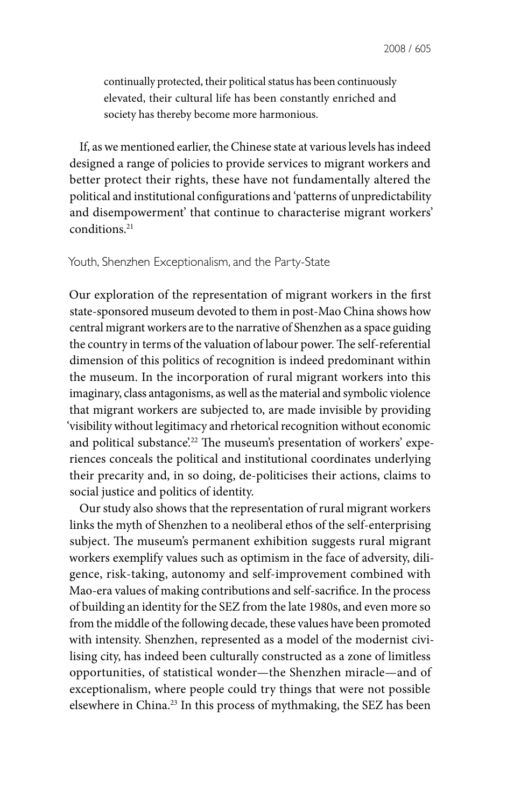continually protected, their political status has been continuously elevated, their cultural life has been constantly enriched and society has thereby become more harmonious.

If, as we mentioned earlier, the Chinese state at various levels has indeed designed a range of policies to provide services to migrant workers and better protect their rights, these have not fundamentally altered the political and institutional configurations and 'patterns of unpredictability and disempowerment' that continue to characterise migrant workers' conditions.21

#### Youth, Shenzhen Exceptionalism, and the Party-State

Our exploration of the representation of migrant workers in the first state-sponsored museum devoted to them in post-Mao China shows how central migrant workers are to the narrative of Shenzhen as a space guiding the country in terms of the valuation of labour power. The self-referential dimension of this politics of recognition is indeed predominant within the museum. In the incorporation of rural migrant workers into this imaginary, class antagonisms, as well as the material and symbolic violence that migrant workers are subjected to, are made invisible by providing 'visibility without legitimacy and rhetorical recognition without economic and political substance.<sup>22</sup> The museum's presentation of workers' experiences conceals the political and institutional coordinates underlying their precarity and, in so doing, de-politicises their actions, claims to social justice and politics of identity.

Our study also shows that the representation of rural migrant workers links the myth of Shenzhen to a neoliberal ethos of the self-enterprising subject. The museum's permanent exhibition suggests rural migrant workers exemplify values such as optimism in the face of adversity, diligence, risk-taking, autonomy and self-improvement combined with Mao-era values of making contributions and self-sacrifice. In the process of building an identity for the SEZ from the late 1980s, and even more so from the middle of the following decade, these values have been promoted with intensity. Shenzhen, represented as a model of the modernist civilising city, has indeed been culturally constructed as a zone of limitless opportunities, of statistical wonder—the Shenzhen miracle—and of exceptionalism, where people could try things that were not possible elsewhere in China.23 In this process of mythmaking, the SEZ has been